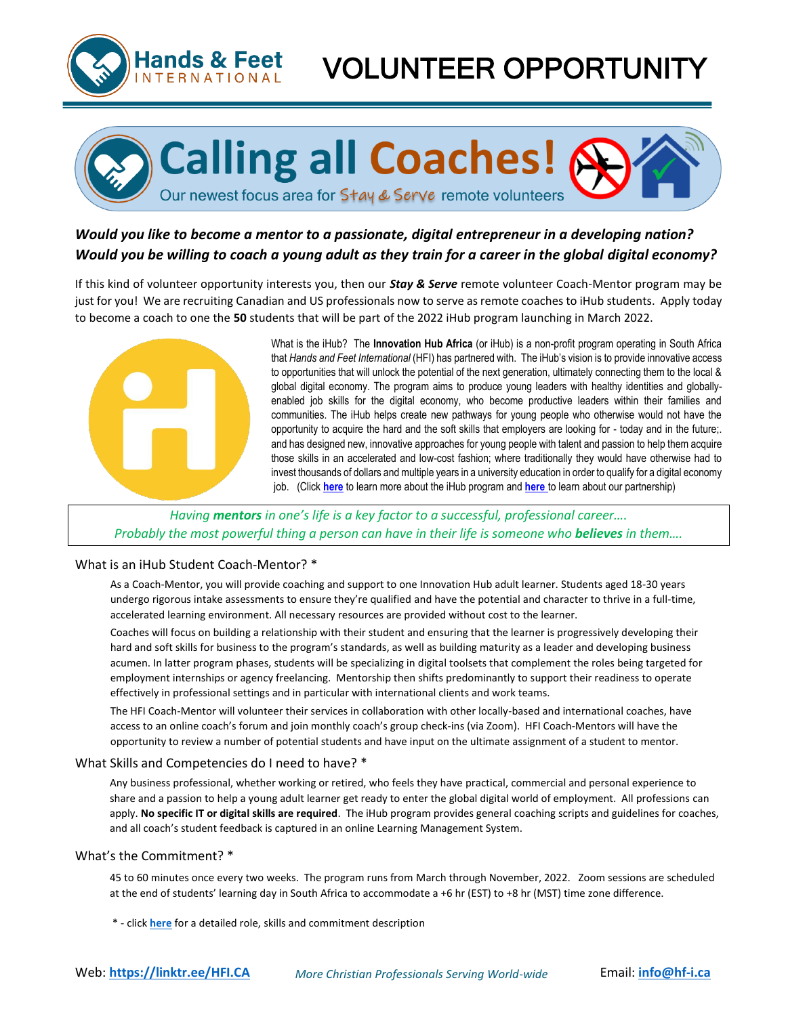

# **VOLUNTEER OPPORTUNI**

**Calling all Coaches!** 

### *Would you like to become a mentor to a passionate, digital entrepreneur in a developing nation? Would you be willing to coach a young adult as they train for a career in the global digital economy?*

Our newest focus area for Stay & Serve remote volunteers

If this kind of volunteer opportunity interests you, then our *Stay & Serve* remote volunteer Coach-Mentor program may be just for you! We are recruiting Canadian and US professionals now to serve as remote coaches to iHub students. Apply today to become a coach to one the **50** students that will be part of the 2022 iHub program launching in March 2022.



What is the iHub? The **Innovation Hub Africa** (or iHub) is a non-profit program operating in South Africa that *Hands and Feet International* (HFI) has partnered with. The iHub's vision is to provide innovative access to opportunities that will unlock the potential of the next generation, ultimately connecting them to the local & global digital economy. The program aims to produce young leaders with healthy identities and globallyenabled job skills for the digital economy, who become productive leaders within their families and communities. The iHub helps create new pathways for young people who otherwise would not have the opportunity to acquire the hard and the soft skills that employers are looking for - today and in the future;. and has designed new, innovative approaches for young people with talent and passion to help them acquire those skills in an accelerated and low-cost fashion; where traditionally they would have otherwise had to invest thousands of dollars and multiple years in a university education in order to qualify for a digital economy job. (Click **[here](https://ihub.africa/)** to learn more about the iHub program and **[here](https://hf-i.ca/project-detail-haf-1/)** to learn about our partnership)

### *Having mentors in one's life is a key factor to a successful, professional career…. Probably the most powerful thing a person can have in their life is someone who believes in them....*

#### What is an iHub Student Coach-Mentor? \*

As a Coach-Mentor, you will provide coaching and support to one Innovation Hub adult learner. Students aged 18-30 years undergo rigorous intake assessments to ensure they're qualified and have the potential and character to thrive in a full-time, accelerated learning environment. All necessary resources are provided without cost to the learner.

Coaches will focus on building a relationship with their student and ensuring that the learner is progressively developing their hard and soft skills for business to the program's standards, as well as building maturity as a leader and developing business acumen. In latter program phases, students will be specializing in digital toolsets that complement the roles being targeted for employment internships or agency freelancing. Mentorship then shifts predominantly to support their readiness to operate effectively in professional settings and in particular with international clients and work teams.

The HFI Coach-Mentor will volunteer their services in collaboration with other locally-based and international coaches, have access to an online coach's forum and join monthly coach's group check-ins (via Zoom). HFI Coach-Mentors will have the opportunity to review a number of potential students and have input on the ultimate assignment of a student to mentor.

#### What Skills and Competencies do I need to have? \*

Any business professional, whether working or retired, who feels they have practical, commercial and personal experience to share and a passion to help a young adult learner get ready to enter the global digital world of employment. All professions can apply. **No specific IT or digital skills are required**. The iHub program provides general coaching scripts and guidelines for coaches, and all coach's student feedback is captured in an online Learning Management System.

#### What's the Commitment? \*

45 to 60 minutes once every two weeks. The program runs from March through November, 2022. Zoom sessions are scheduled at the end of students' learning day in South Africa to accommodate a +6 hr (EST) to +8 hr (MST) time zone difference.

\* - click **[here](https://hf-i.ca/opportunity-detail-haf-5/)** for a detailed role, skills and commitment description